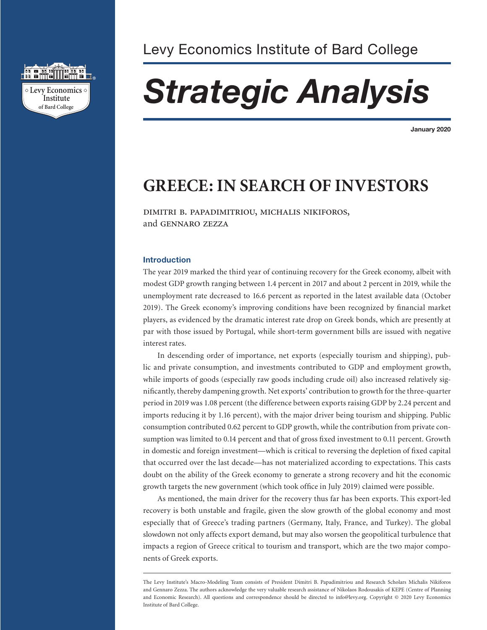

# *Strategic Analysis*

**January 2020**

# **GREECE: IN SEARCH OF INVESTORS**

dimitri b. papadimitriou, michalis nikiforos, and gennaro zezza

# **Introduction**

The year 2019 marked the third year of continuing recovery for the Greek economy, albeit with modest GDP growth ranging between 1.4 percent in 2017 and about 2 percent in 2019, while the unemployment rate decreased to 16.6 percent as reported in the latest available data (October 2019). The Greek economy's improving conditions have been recognized by financial market players, as evidenced by the dramatic interest rate drop on Greek bonds, which are presently at par with those issued by Portugal, while short-term government bills are issued with negative interest rates.

In descending order of importance, net exports (especially tourism and shipping), public and private consumption, and investments contributed to GDP and employment growth, while imports of goods (especially raw goods including crude oil) also increased relatively significantly, thereby dampening growth. Net exports' contribution to growth for the three-quarter period in 2019 was 1.08 percent (the difference between exports raising GDP by 2.24 percent and imports reducing it by 1.16 percent), with the major driver being tourism and shipping. Public consumption contributed 0.62 percent to GDP growth, while the contribution from private consumption was limited to 0.14 percent and that of gross fixed investment to 0.11 percent. Growth in domestic and foreign investment—which is critical to reversing the depletion of fixed capital that occurred over the last decade—has not materialized according to expectations. This casts doubt on the ability of the Greek economy to generate a strong recovery and hit the economic growth targets the new government (which took office in July 2019) claimed were possible.

As mentioned, the main driver for the recovery thus far has been exports. This export-led recovery is both unstable and fragile, given the slow growth of the global economy and most especially that of Greece's trading partners (Germany, Italy, France, and Turkey). The global slowdown not only affects export demand, but may also worsen the geopolitical turbulence that impacts a region of Greece critical to tourism and transport, which are the two major components of Greek exports.

The Levy Institute's Macro-Modeling Team consists of President Dimitri B. Papadimitriou and Research Scholars Michalis Nikiforos and Gennaro Zezza. The authors acknowledge the very valuable research assistance of Nikolaos Rodousakis of KEPE (Centre of Planning and Economic Research). All questions and correspondence should be directed to info@levy.org. Copyright © 2020 Levy Economics Institute of Bard College.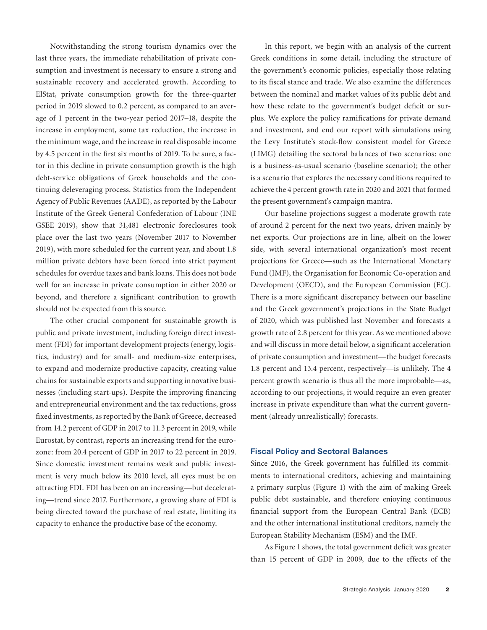Notwithstanding the strong tourism dynamics over the last three years, the immediate rehabilitation of private consumption and investment is necessary to ensure a strong and sustainable recovery and accelerated growth. According to ElStat, private consumption growth for the three-quarter period in 2019 slowed to 0.2 percent, as compared to an average of 1 percent in the two-year period 2017–18, despite the increase in employment, some tax reduction, the increase in the minimum wage, and the increase in real disposable income by 4.5 percent in the first six months of 2019. To be sure, a factor in this decline in private consumption growth is the high debt-service obligations of Greek households and the continuing deleveraging process. Statistics from the Independent Agency of Public Revenues (AADE), as reported by the Labour Institute of the Greek General Confederation of Labour (INE GSEE 2019), show that 31,481 electronic foreclosures took place over the last two years (November 2017 to November 2019), with more scheduled for the current year, and about 1.8 million private debtors have been forced into strict payment schedules for overdue taxes and bank loans. This does not bode well for an increase in private consumption in either 2020 or beyond, and therefore a significant contribution to growth should not be expected from this source.

The other crucial component for sustainable growth is public and private investment, including foreign direct investment (FDI) for important development projects (energy, logistics, industry) and for small- and medium-size enterprises, to expand and modernize productive capacity, creating value chains for sustainable exports and supporting innovative businesses (including start-ups). Despite the improving financing and entrepreneurial environment and the tax reductions, gross fixed investments, as reported by the Bank of Greece, decreased from 14.2 percent of GDP in 2017 to 11.3 percent in 2019, while Eurostat, by contrast, reports an increasing trend for the eurozone: from 20.4 percent of GDP in 2017 to 22 percent in 2019. Since domestic investment remains weak and public investment is very much below its 2010 level, all eyes must be on attracting FDI. FDI has been on an increasing—but decelerating—trend since 2017. Furthermore, a growing share of FDI is being directed toward the purchase of real estate, limiting its capacity to enhance the productive base of the economy.

In this report, we begin with an analysis of the current Greek conditions in some detail, including the structure of the government's economic policies, especially those relating to its fiscal stance and trade. We also examine the differences between the nominal and market values of its public debt and how these relate to the government's budget deficit or surplus. We explore the policy ramifications for private demand and investment, and end our report with simulations using the Levy Institute's stock-flow consistent model for Greece (LIMG) detailing the sectoral balances of two scenarios: one is a business-as-usual scenario (baseline scenario); the other is a scenario that explores the necessary conditions required to achieve the 4 percent growth rate in 2020 and 2021 that formed the present government's campaign mantra.

Our baseline projections suggest a moderate growth rate of around 2 percent for the next two years, driven mainly by net exports. Our projections are in line, albeit on the lower side, with several international organization's most recent projections for Greece—such as the International Monetary Fund (IMF), the Organisation for Economic Co-operation and Development (OECD), and the European Commission (EC). There is a more significant discrepancy between our baseline and the Greek government's projections in the State Budget of 2020, which was published last November and forecasts a growth rate of 2.8 percent for this year. As we mentioned above and will discuss in more detail below, a significant acceleration of private consumption and investment—the budget forecasts 1.8 percent and 13.4 percent, respectively—is unlikely. The 4 percent growth scenario is thus all the more improbable—as, according to our projections, it would require an even greater increase in private expenditure than what the current government (already unrealistically) forecasts.

## **Fiscal Policy and Sectoral Balances**

Since 2016, the Greek government has fulfilled its commitments to international creditors, achieving and maintaining a primary surplus (Figure 1) with the aim of making Greek public debt sustainable, and therefore enjoying continuous financial support from the European Central Bank (ECB) and the other international institutional creditors, namely the European Stability Mechanism (ESM) and the IMF.

As Figure 1 shows, the total government deficit was greater than 15 percent of GDP in 2009, due to the effects of the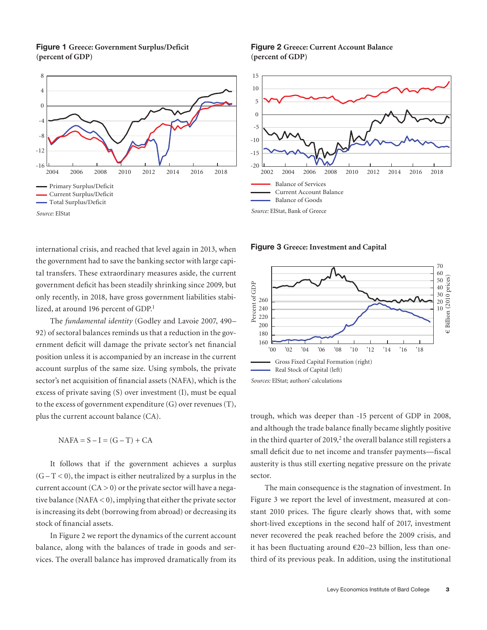**Figure 1 Greece: Government Surplus/Deficit (percent of GDP)**



international crisis, and reached that level again in 2013, when the government had to save the banking sector with large capital transfers. These extraordinary measures aside, the current government deficit has been steadily shrinking since 2009, but only recently, in 2018, have gross government liabilities stabilized, at around 196 percent of GDP.<sup>1</sup>

The *fundamental identity* (Godley and Lavoie 2007, 490– 92) of sectoral balances reminds us that a reduction in the government deficit will damage the private sector's net financial position unless it is accompanied by an increase in the current account surplus of the same size. Using symbols, the private sector's net acquisition of financial assets (NAFA), which is the excess of private saving (S) over investment (I), must be equal to the excess of government expenditure (G) over revenues (T), plus the current account balance (CA).

 $NAFA = S - I = (G - T) + CA$ 

It follows that if the government achieves a surplus  $(G - T < 0)$ , the impact is either neutralized by a surplus in the current account  $(CA > 0)$  or the private sector will have a negative balance  $(NAFA < 0)$ , implying that either the private sector is increasing its debt (borrowing from abroad) or decreasing its stock of financial assets.

In Figure 2 we report the dynamics of the current account balance, along with the balances of trade in goods and services. The overall balance has improved dramatically from its

**Figure 2 Greece: Current Account Balance (percent of GDP)**



**Figure 3 Greece: Investment and Capital**



trough, which was deeper than -15 percent of GDP in 2008, and although the trade balance finally became slightly positive in the third quarter of  $2019<sup>2</sup>$  the overall balance still registers a small deficit due to net income and transfer payments—fiscal austerity is thus still exerting negative pressure on the private sector.

The main consequence is the stagnation of investment. In Figure 3 we report the level of investment, measured at constant 2010 prices. The figure clearly shows that, with some short-lived exceptions in the second half of 2017, investment never recovered the peak reached before the 2009 crisis, and it has been fluctuating around €20–23 billion, less than onethird of its previous peak. In addition, using the institutional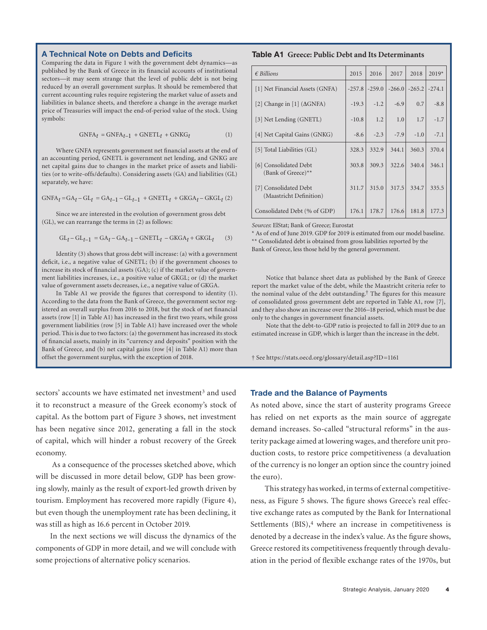#### **A Technical Note on Debts and Deficits**

Comparing the data in Figure 1 with the government debt dynamics—as published by the Bank of Greece in its financial accounts of institutional sectors—it may seem strange that the level of public debt is not being reduced by an overall government surplus. It should be remembered that current accounting rules require registering the market value of assets and liabilities in balance sheets, and therefore a change in the average market price of Treasuries will impact the end-of-period value of the stock. Using symbols:

$$
GNFA_t = GNFA_{t-1} + GNETL_t + GNKG_t \tag{1}
$$

Where GNFA represents government net financial assets at the end of an accounting period, GNETL is government net lending, and GNKG are net capital gains due to changes in the market price of assets and liabilities (or to write-offs/defaults). Considering assets (GA) and liabilities (GL) separately, we have:

 $GNFA_t = GA_t - GL_t = GA_{t-1} - GL_{t-1} + GNETL_t + GKGA_t - GKGL_t$  (2)

Since we are interested in the evolution of government gross debt (GL), we can rearrange the terms in (2) as follows:

$$
GL_t - GL_{t-1} = GA_t - GA_{t-1} - GNETL_t - GKGA_t + GKGL_t \qquad (3)
$$

Identity (3) shows that gross debt will increase: (a) with a government deficit, i.e., a negative value of GNETL; (b) if the government chooses to increase its stock of financial assets (GA); (c) if the market value of government liabilities increases, i.e., a positive value of GKGL; or (d) the market value of government assets decreases, i.e., a negative value of GKGA.

In Table A1 we provide the figures that correspond to identity (1). According to the data from the Bank of Greece, the government sector registered an overall surplus from 2016 to 2018, but the stock of net financial assets (row [1] in Table A1) has increased in the first two years, while gross government liabilities (row [5] in Table A1) have increased over the whole period. This is due to two factors: (a) the government has increased its stock of financial assets, mainly in its "currency and deposits" position with the Bank of Greece, and (b) net capital gains (row [4] in Table A1) more than offset the government surplus, with the exception of 2018.

sectors' accounts we have estimated net investment<sup>3</sup> and used it to reconstruct a measure of the Greek economy's stock of capital. As the bottom part of Figure 3 shows, net investment has been negative since 2012, generating a fall in the stock of capital, which will hinder a robust recovery of the Greek economy.

 As a consequence of the processes sketched above, which will be discussed in more detail below, GDP has been growing slowly, mainly as the result of export-led growth driven by tourism. Employment has recovered more rapidly (Figure 4), but even though the unemployment rate has been declining, it was still as high as 16.6 percent in October 2019.

In the next sections we will discuss the dynamics of the components of GDP in more detail, and we will conclude with some projections of alternative policy scenarios.

#### **Table A1 Greece: Public Debt and Its Determinants**

| $\epsilon$ Billions                              | 2015     | 2016     | 2017     | 2018     | $2019*$  |
|--------------------------------------------------|----------|----------|----------|----------|----------|
| [1] Net Financial Assets (GNFA)                  | $-257.8$ | $-259.0$ | $-266.0$ | $-265.2$ | $-274.1$ |
| [2] Change in [1] $(\Delta$ GNFA)                | $-19.3$  | $-1.2$   | $-6.9$   | 0.7      | $-8.8$   |
| [3] Net Lending (GNETL)                          | $-10.8$  | 1.2      | 1.0      | 1.7      | $-1.7$   |
| [4] Net Capital Gains (GNKG)                     | $-8.6$   | $-2.3$   | $-7.9$   | $-1.0$   | $-7.1$   |
| [5] Total Liabilities (GL)                       | 328.3    | 332.9    | 344.1    | 360.3    | 370.4    |
| [6] Consolidated Debt<br>(Bank of Greece)**      | 303.8    | 309.3    | 322.6    | 340.4    | 346.1    |
| [7] Consolidated Debt<br>(Maastricht Definition) | 311.7    | 315.0    | 317.5    | 334.7    | 335.5    |
| Consolidated Debt (% of GDP)                     | 176.1    | 178.7    | 176.6    | 181.8    | 177.3    |

*Sources*: ElStat; Bank of Greece; Eurostat

\* As of end of June 2019. GDP for 2019 is estimated from our model baseline. \*\* Consolidated debt is obtained from gross liabilities reported by the Bank of Greece, less those held by the general government.

Notice that balance sheet data as published by the Bank of Greece report the market value of the debt, while the Maastricht criteria refer to the nominal value of the debt outstanding.† The figures for this measure of consolidated gross government debt are reported in Table A1, row [7], and they also show an increase over the 2016–18 period, which must be due only to the changes in government financial assets.

Note that the debt-to-GDP ratio is projected to fall in 2019 due to an estimated increase in GDP, which is larger than the increase in the debt.

† See https://stats.oecd.org/glossary/detail.asp?ID=1161

# **Trade and the Balance of Payments**

As noted above, since the start of austerity programs Greece has relied on net exports as the main source of aggregate demand increases. So-called "structural reforms" in the austerity package aimed at lowering wages, and therefore unit production costs, to restore price competitiveness (a devaluation of the currency is no longer an option since the country joined the euro).

This strategy has worked, in terms of external competitiveness, as Figure 5 shows. The figure shows Greece's real effective exchange rates as computed by the Bank for International Settlements  $(BIS),<sup>4</sup>$  where an increase in competitiveness is denoted by a decrease in the index's value. As the figure shows, Greece restored its competitiveness frequently through devaluation in the period of flexible exchange rates of the 1970s, but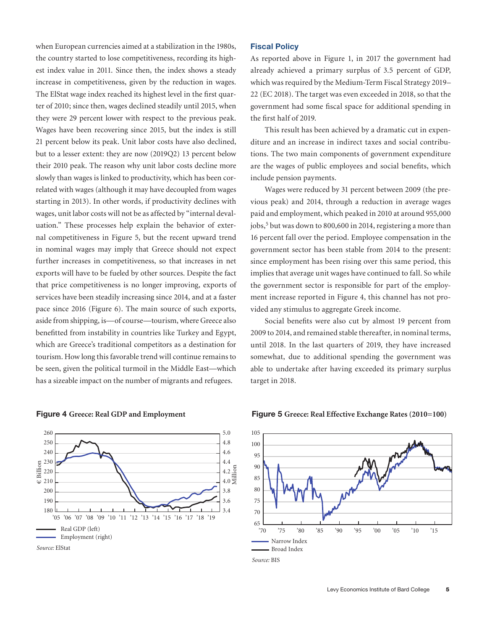when European currencies aimed at a stabilization in the 1980s, the country started to lose competitiveness, recording its highest index value in 2011. Since then, the index shows a steady increase in competitiveness, given by the reduction in wages. The ElStat wage index reached its highest level in the first quarter of 2010; since then, wages declined steadily until 2015, when they were 29 percent lower with respect to the previous peak. Wages have been recovering since 2015, but the index is still 21 percent below its peak. Unit labor costs have also declined, but to a lesser extent: they are now (2019Q2) 13 percent below their 2010 peak. The reason why unit labor costs decline more slowly than wages is linked to productivity, which has been correlated with wages (although it may have decoupled from wages starting in 2013). In other words, if productivity declines with wages, unit labor costs will not be as affected by "internal devaluation." These processes help explain the behavior of external competitiveness in Figure 5, but the recent upward trend in nominal wages may imply that Greece should not expect further increases in competitiveness, so that increases in net exports will have to be fueled by other sources. Despite the fact that price competitiveness is no longer improving, exports of services have been steadily increasing since 2014, and at a faster pace since 2016 (Figure 6). The main source of such exports, aside from shipping, is—of course—tourism, where Greece also benefitted from instability in countries like Turkey and Egypt, which are Greece's traditional competitors as a destination for tourism. How long this favorable trend will continue remains to be seen, given the political turmoil in the Middle East—which has a sizeable impact on the number of migrants and refugees.

#### Real GDP (left) Employment (right)  $\frac{5}{10}$  230<br> $\frac{230}{10}$  220 180 190 200 220 230 240 250 260 3.4 3.6 3.8  $4.0\,\Xi$  $4.2 \frac{5}{12}$ <br> $4.0 \frac{1}{2}$ 4.4 4.6 4.8 5.0 '05 '06 '07 '08 '09 '10 '11 '12 '13 '14 '15 '16 '17 '18 '19

**Figure 4 Greece: Real GDP and Employment**



# **Fiscal Policy**

As reported above in Figure 1, in 2017 the government had already achieved a primary surplus of 3.5 percent of GDP, which was required by the Medium-Term Fiscal Strategy 2019– 22 (EC 2018). The target was even exceeded in 2018, so that the government had some fiscal space for additional spending in the first half of 2019.

This result has been achieved by a dramatic cut in expenditure and an increase in indirect taxes and social contributions. The two main components of government expenditure are the wages of public employees and social benefits, which include pension payments.

Wages were reduced by 31 percent between 2009 (the previous peak) and 2014, through a reduction in average wages paid and employment, which peaked in 2010 at around 955,000 jobs,<sup>5</sup> but was down to 800,600 in 2014, registering a more than 16 percent fall over the period. Employee compensation in the government sector has been stable from 2014 to the present: since employment has been rising over this same period, this implies that average unit wages have continued to fall. So while the government sector is responsible for part of the employment increase reported in Figure 4, this channel has not provided any stimulus to aggregate Greek income.

Social benefits were also cut by almost 19 percent from 2009 to 2014, and remained stable thereafter, in nominal terms, until 2018. In the last quarters of 2019, they have increased somewhat, due to additional spending the government was able to undertake after having exceeded its primary surplus target in 2018.



#### **Figure 5 Greece: Real Effective Exchange Rates (2010=100)**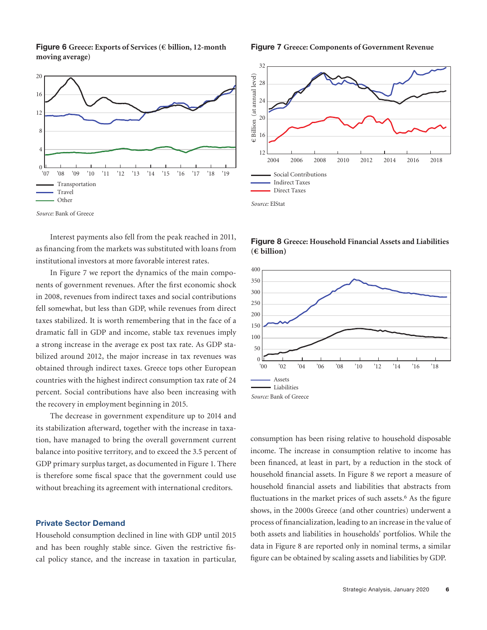**Figure 6 Greece: Exports of Services (€ billion, 12-month moving average)**



*Source:* Bank of Greece

Interest payments also fell from the peak reached in 2011, as financing from the markets was substituted with loans from institutional investors at more favorable interest rates.

In Figure 7 we report the dynamics of the main components of government revenues. After the first economic shock in 2008, revenues from indirect taxes and social contributions fell somewhat, but less than GDP, while revenues from direct taxes stabilized. It is worth remembering that in the face of a dramatic fall in GDP and income, stable tax revenues imply a strong increase in the average ex post tax rate. As GDP stabilized around 2012, the major increase in tax revenues was obtained through indirect taxes. Greece tops other European countries with the highest indirect consumption tax rate of 24 percent. Social contributions have also been increasing with the recovery in employment beginning in 2015.

The decrease in government expenditure up to 2014 and its stabilization afterward, together with the increase in taxation, have managed to bring the overall government current balance into positive territory, and to exceed the 3.5 percent of GDP primary surplus target, as documented in Figure 1. There is therefore some fiscal space that the government could use without breaching its agreement with international creditors.

# **Private Sector Demand**

Household consumption declined in line with GDP until 2015 and has been roughly stable since. Given the restrictive fiscal policy stance, and the increase in taxation in particular,

**Figure 7 Greece: Components of Government Revenue**



**Figure 8 Greece: Household Financial Assets and Liabilities (€ billion)**



consumption has been rising relative to household disposable income. The increase in consumption relative to income has been financed, at least in part, by a reduction in the stock of household financial assets. In Figure 8 we report a measure of household financial assets and liabilities that abstracts from fluctuations in the market prices of such assets.<sup>6</sup> As the figure shows, in the 2000s Greece (and other countries) underwent a process of financialization, leading to an increase in the value of both assets and liabilities in households' portfolios. While the data in Figure 8 are reported only in nominal terms, a similar figure can be obtained by scaling assets and liabilities by GDP.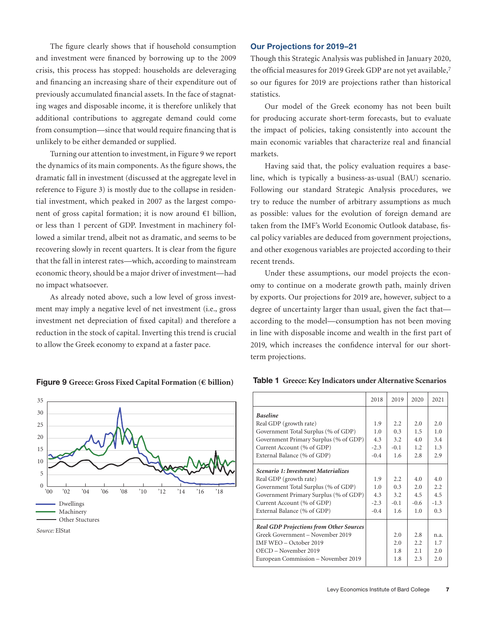The figure clearly shows that if household consumption and investment were financed by borrowing up to the 2009 crisis, this process has stopped: households are deleveraging and financing an increasing share of their expenditure out of previously accumulated financial assets. In the face of stagnating wages and disposable income, it is therefore unlikely that additional contributions to aggregate demand could come from consumption—since that would require financing that is unlikely to be either demanded or supplied.

Turning our attention to investment, in Figure 9 we report the dynamics of its main components. As the figure shows, the dramatic fall in investment (discussed at the aggregate level in reference to Figure 3) is mostly due to the collapse in residential investment, which peaked in 2007 as the largest component of gross capital formation; it is now around €1 billion, or less than 1 percent of GDP. Investment in machinery followed a similar trend, albeit not as dramatic, and seems to be recovering slowly in recent quarters. It is clear from the figure that the fall in interest rates—which, according to mainstream economic theory, should be a major driver of investment—had no impact whatsoever.

As already noted above, such a low level of gross investment may imply a negative level of net investment (i.e., gross investment net depreciation of fixed capital) and therefore a reduction in the stock of capital. Inverting this trend is crucial to allow the Greek economy to expand at a faster pace.

# *Source:* ElStat Dwellings Machinery Other Stuctures  $\boldsymbol{0}$ 5 10 15 20 25 30 35 '00 '02 '04 '06 '08 '10 '12 '14 '16 '18

# **Figure 9 Greece: Gross Fixed Capital Formation (€ billion)**

# **Our Projections for 2019–21**

Though this Strategic Analysis was published in January 2020, the official measures for 2019 Greek GDP are not yet available,<sup>7</sup> so our figures for 2019 are projections rather than historical statistics.

Our model of the Greek economy has not been built for producing accurate short-term forecasts, but to evaluate the impact of policies, taking consistently into account the main economic variables that characterize real and financial markets.

Having said that, the policy evaluation requires a baseline, which is typically a business-as-usual (BAU) scenario. Following our standard Strategic Analysis procedures, we try to reduce the number of arbitrary assumptions as much as possible: values for the evolution of foreign demand are taken from the IMF's World Economic Outlook database, fiscal policy variables are deduced from government projections, and other exogenous variables are projected according to their recent trends.

Under these assumptions, our model projects the economy to continue on a moderate growth path, mainly driven by exports. Our projections for 2019 are, however, subject to a degree of uncertainty larger than usual, given the fact that according to the model—consumption has not been moving in line with disposable income and wealth in the first part of 2019, which increases the confidence interval for our shortterm projections.

| Table 1 Greece: Key Indicators under Alternative Scenarios |  |  |  |
|------------------------------------------------------------|--|--|--|
|------------------------------------------------------------|--|--|--|

|                                                | 2018   | 2019   | 2020   | 2021   |
|------------------------------------------------|--------|--------|--------|--------|
| <b>Baseline</b>                                |        |        |        |        |
| Real GDP (growth rate)                         | 1.9    | 2.2    | 2.0    | 2.0    |
| Government Total Surplus (% of GDP)            | 1.0    | 0.3    | 1.5    | 1.0    |
| Government Primary Surplus (% of GDP)          | 4.3    | 3.2    | 4.0    | 3.4    |
| Current Account (% of GDP)                     | $-2.3$ | $-0.1$ | 1.2.   | 1.3    |
| External Balance (% of GDP)                    | $-0.4$ | 1.6    | 2.8    | 2.9    |
| <b>Scenario 1: Investment Materializes</b>     |        |        |        |        |
| Real GDP (growth rate)                         | 1.9    | 2.2    | 4.0    | 4.0    |
| Government Total Surplus (% of GDP)            | 1.0    | 0.3    | 2.0    | 2.2    |
| Government Primary Surplus (% of GDP)          | 4.3    | 3.2    | 4.5    | 4.5    |
| Current Account (% of GDP)                     | $-2.3$ | $-0.1$ | $-0.6$ | $-1.3$ |
| External Balance (% of GDP)                    | $-0.4$ | 1.6    | 1.0    | 0.3    |
| <b>Real GDP Projections from Other Sources</b> |        |        |        |        |
| Greek Government - November 2019               |        | 2.0    | 2.8    | n.a.   |
| IMF WEO - October 2019                         |        | 2.0    | 2.2    | 1.7    |
| OECD – November 2019                           |        | 1.8    | 2.1    | 2.0    |
| European Commission - November 2019            |        | 1.8    | 2.3    | 2.0    |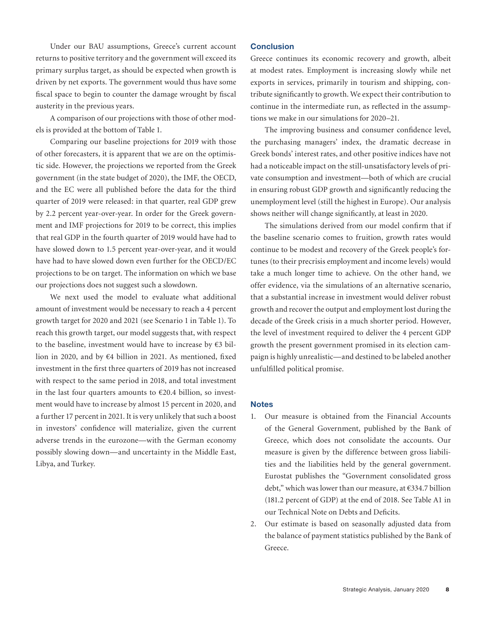Under our BAU assumptions, Greece's current account returns to positive territory and the government will exceed its primary surplus target, as should be expected when growth is driven by net exports. The government would thus have some fiscal space to begin to counter the damage wrought by fiscal austerity in the previous years.

A comparison of our projections with those of other models is provided at the bottom of Table 1.

Comparing our baseline projections for 2019 with those of other forecasters, it is apparent that we are on the optimistic side. However, the projections we reported from the Greek government (in the state budget of 2020), the IMF, the OECD, and the EC were all published before the data for the third quarter of 2019 were released: in that quarter, real GDP grew by 2.2 percent year-over-year. In order for the Greek government and IMF projections for 2019 to be correct, this implies that real GDP in the fourth quarter of 2019 would have had to have slowed down to 1.5 percent year-over-year, and it would have had to have slowed down even further for the OECD/EC projections to be on target. The information on which we base our projections does not suggest such a slowdown.

We next used the model to evaluate what additional amount of investment would be necessary to reach a 4 percent growth target for 2020 and 2021 (see Scenario 1 in Table 1). To reach this growth target, our model suggests that, with respect to the baseline, investment would have to increase by  $€3$  billion in 2020, and by €4 billion in 2021. As mentioned, fixed investment in the first three quarters of 2019 has not increased with respect to the same period in 2018, and total investment in the last four quarters amounts to  $\epsilon$ 20.4 billion, so investment would have to increase by almost 15 percent in 2020, and a further 17 percent in 2021. It is very unlikely that such a boost in investors' confidence will materialize, given the current adverse trends in the eurozone—with the German economy possibly slowing down—and uncertainty in the Middle East, Libya, and Turkey.

# **Conclusion**

Greece continues its economic recovery and growth, albeit at modest rates. Employment is increasing slowly while net exports in services, primarily in tourism and shipping, contribute significantly to growth. We expect their contribution to continue in the intermediate run, as reflected in the assumptions we make in our simulations for 2020–21.

The improving business and consumer confidence level, the purchasing managers' index, the dramatic decrease in Greek bonds' interest rates, and other positive indices have not had a noticeable impact on the still-unsatisfactory levels of private consumption and investment—both of which are crucial in ensuring robust GDP growth and significantly reducing the unemployment level (still the highest in Europe). Our analysis shows neither will change significantly, at least in 2020.

The simulations derived from our model confirm that if the baseline scenario comes to fruition, growth rates would continue to be modest and recovery of the Greek people's fortunes (to their precrisis employment and income levels) would take a much longer time to achieve. On the other hand, we offer evidence, via the simulations of an alternative scenario, that a substantial increase in investment would deliver robust growth and recover the output and employment lost during the decade of the Greek crisis in a much shorter period. However, the level of investment required to deliver the 4 percent GDP growth the present government promised in its election campaign is highly unrealistic—and destined to be labeled another unfulfilled political promise.

## **Notes**

- 1. Our measure is obtained from the Financial Accounts of the General Government, published by the Bank of Greece, which does not consolidate the accounts. Our measure is given by the difference between gross liabilities and the liabilities held by the general government. Eurostat publishes the "Government consolidated gross debt," which was lower than our measure, at €334.7 billion (181.2 percent of GDP) at the end of 2018. See Table A1 in our Technical Note on Debts and Deficits.
- 2. Our estimate is based on seasonally adjusted data from the balance of payment statistics published by the Bank of Greece.